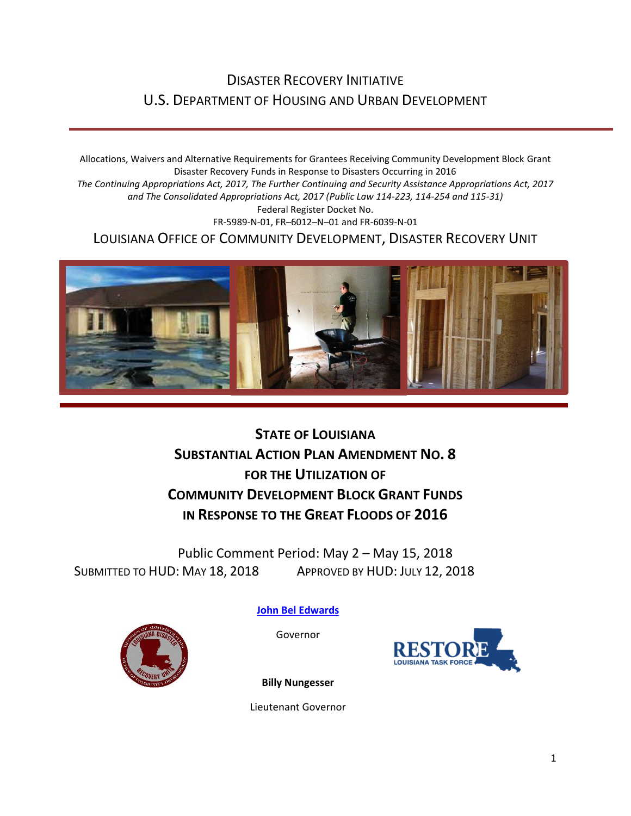### DISASTER RECOVERY INITIATIVE U.S. DEPARTMENT OF HOUSING AND URBAN DEVELOPMENT

Allocations, Waivers and Alternative Requirements for Grantees Receiving Community Development Block Grant Disaster Recovery Funds in Response to Disasters Occurring in 2016 *The Continuing Appropriations Act, 2017, The Further Continuing and Security Assistance Appropriations Act, 2017 and The Consolidated Appropriations Act, 2017 (Public Law 114-223, 114-254 and 115-31)* Federal Register Docket No. FR-5989-N-01, FR–6012–N–01 and FR-6039-N-01 LOUISIANA OFFICE OF COMMUNITY DEVELOPMENT, DISASTER RECOVERY UNIT



## **STATE OF LOUISIANA SUBSTANTIAL ACTION PLAN AMENDMENT NO. 8 FOR THE UTILIZATION OF COMMUNITY DEVELOPMENT BLOCK GRANT FUNDS IN RESPONSE TO THE GREAT FLOODS OF 2016**

Public Comment Period: May 2 – May 15, 2018 SUBMITTED TO HUD: MAY 18, 2018 APPROVED BY HUD: JULY 12, 2018



**[John Bel Edwards](https://www.facebook.com/LouisianaGov/)**

Governor



**Billy Nungesser**

Lieutenant Governor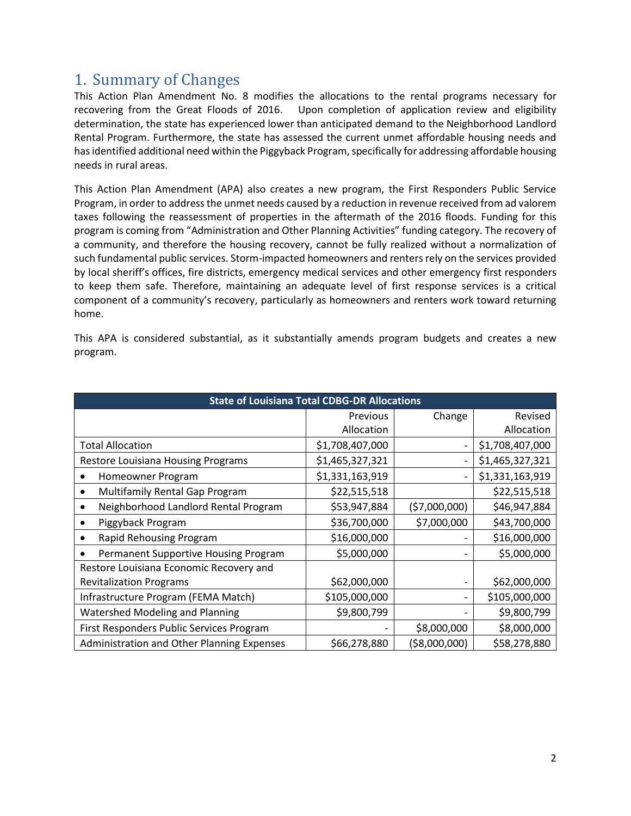### 1. Summary of Changes

This Action Plan Amendment No. 8 modifies the allocations to the rental programs necessary for recovering from the Great Floods of 2016. Upon completion of application review and eligibility determination, the state has experienced lower than anticipated demand to the Neighborhood Landlord Rental Program. Furthermore, the state has assessed the current unmet affordable housing needs and has identified additional need within the Piggyback Program, specifically for addressing affordable housing needs in rural areas.

This Action Plan Amendment (APA) also creates a new program, the First Responders Public Service Program, in order to address the unmet needs caused by a reduction in revenue received from ad valorem taxes following the reassessment of properties in the aftermath of the 2016 floods. Funding for this program is coming from "Administration and Other Planning Activities" funding category. The recovery of a community, and therefore the housing recovery, cannot be fully realized without a normalization of such fundamental public services. Storm-impacted homeowners and renters rely on the services provided by local sheriff's offices, fire districts, emergency medical services and other emergency first responders to keep them safe. Therefore, maintaining an adequate level of first response services is a critical component of a community's recovery, particularly as homeowners and renters work toward returning home.

|          |  |  | This APA is considered substantial, as it substantially amends program budgets and creates a new |  |  |  |  |
|----------|--|--|--------------------------------------------------------------------------------------------------|--|--|--|--|
| program. |  |  |                                                                                                  |  |  |  |  |

| <b>State of Louisiana Total CDBG-DR Allocations</b> |                 |                |                 |  |  |
|-----------------------------------------------------|-----------------|----------------|-----------------|--|--|
|                                                     | Previous        | Change         | Revised         |  |  |
|                                                     | Allocation      |                | Allocation      |  |  |
| <b>Total Allocation</b>                             | \$1,708,407,000 |                | \$1,708,407,000 |  |  |
| Restore Louisiana Housing Programs                  | \$1,465,327,321 |                | \$1,465,327,321 |  |  |
| Homeowner Program                                   | \$1,331,163,919 |                | \$1,331,163,919 |  |  |
| Multifamily Rental Gap Program<br>$\bullet$         | \$22,515,518    |                | \$22,515,518    |  |  |
| Neighborhood Landlord Rental Program<br>٠           | \$53,947,884    | (57,000,000)   | \$46,947,884    |  |  |
| Piggyback Program                                   | \$36,700,000    | \$7,000,000    | \$43,700,000    |  |  |
| Rapid Rehousing Program                             | \$16,000,000    |                | \$16,000,000    |  |  |
| Permanent Supportive Housing Program                | \$5,000,000     |                | \$5,000,000     |  |  |
| Restore Louisiana Economic Recovery and             |                 |                |                 |  |  |
| <b>Revitalization Programs</b>                      | \$62,000,000    |                | \$62,000,000    |  |  |
| Infrastructure Program (FEMA Match)                 | \$105,000,000   |                | \$105,000,000   |  |  |
| <b>Watershed Modeling and Planning</b>              | \$9,800,799     |                | \$9,800,799     |  |  |
| First Responders Public Services Program            |                 | \$8,000,000    | \$8,000,000     |  |  |
| Administration and Other Planning Expenses          | \$66,278,880    | ( \$8,000,000) | \$58,278,880    |  |  |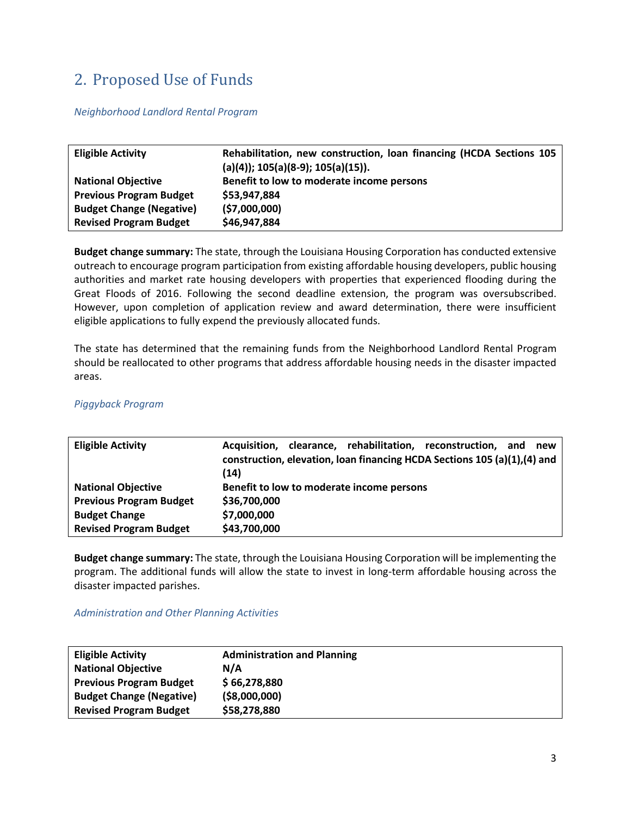## 2. Proposed Use of Funds

### *Neighborhood Landlord Rental Program*

| <b>Eligible Activity</b>        | Rehabilitation, new construction, loan financing (HCDA Sections 105<br>$(a)(4)$ ; 105(a)(8-9); 105(a)(15)). |
|---------------------------------|-------------------------------------------------------------------------------------------------------------|
| <b>National Objective</b>       | Benefit to low to moderate income persons                                                                   |
| <b>Previous Program Budget</b>  | \$53,947,884                                                                                                |
| <b>Budget Change (Negative)</b> | (57,000,000)                                                                                                |
| <b>Revised Program Budget</b>   | \$46,947,884                                                                                                |

**Budget change summary:** The state, through the Louisiana Housing Corporation has conducted extensive outreach to encourage program participation from existing affordable housing developers, public housing authorities and market rate housing developers with properties that experienced flooding during the Great Floods of 2016. Following the second deadline extension, the program was oversubscribed. However, upon completion of application review and award determination, there were insufficient eligible applications to fully expend the previously allocated funds.

The state has determined that the remaining funds from the Neighborhood Landlord Rental Program should be reallocated to other programs that address affordable housing needs in the disaster impacted areas.

| <b>Eligible Activity</b>       | clearance, rehabilitation, reconstruction, and<br>Acquisition.<br>new    |
|--------------------------------|--------------------------------------------------------------------------|
|                                | construction, elevation, loan financing HCDA Sections 105 (a)(1),(4) and |
|                                | (14)                                                                     |
|                                |                                                                          |
| <b>National Objective</b>      | Benefit to low to moderate income persons                                |
| <b>Previous Program Budget</b> | \$36,700,000                                                             |
| <b>Budget Change</b>           | \$7,000,000                                                              |
|                                |                                                                          |
| <b>Revised Program Budget</b>  | \$43,700,000                                                             |

#### *Piggyback Program*

**Budget change summary:** The state, through the Louisiana Housing Corporation will be implementing the program. The additional funds will allow the state to invest in long-term affordable housing across the disaster impacted parishes.

### *Administration and Other Planning Activities*

| <b>Eligible Activity</b>        | <b>Administration and Planning</b> |
|---------------------------------|------------------------------------|
| <b>National Objective</b>       | N/A                                |
| <b>Previous Program Budget</b>  | \$66,278,880                       |
| <b>Budget Change (Negative)</b> | ( \$8,000,000)                     |
| <b>Revised Program Budget</b>   | \$58,278,880                       |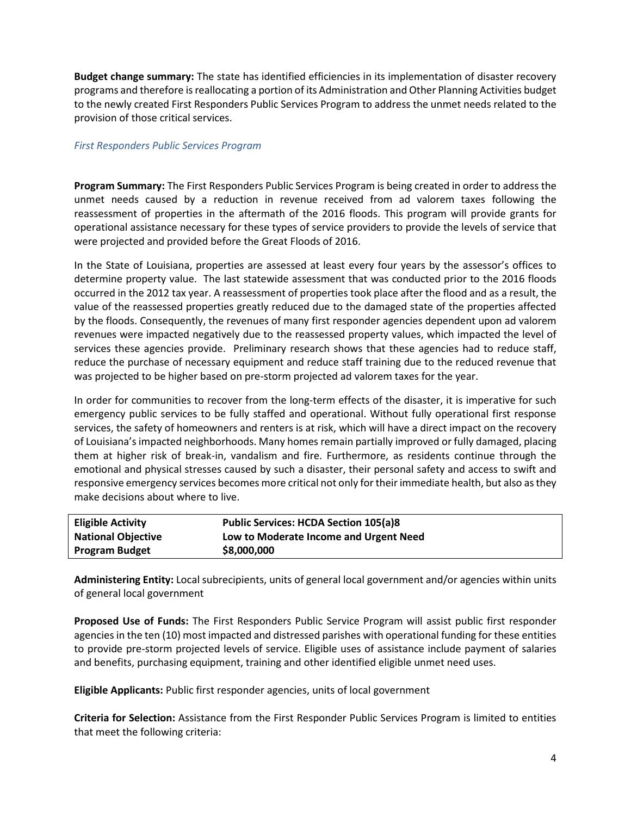**Budget change summary:** The state has identified efficiencies in its implementation of disaster recovery programs and therefore is reallocating a portion of its Administration and Other Planning Activities budget to the newly created First Responders Public Services Program to address the unmet needs related to the provision of those critical services.

### *First Responders Public Services Program*

**Program Summary:** The First Responders Public Services Program is being created in order to address the unmet needs caused by a reduction in revenue received from ad valorem taxes following the reassessment of properties in the aftermath of the 2016 floods. This program will provide grants for operational assistance necessary for these types of service providers to provide the levels of service that were projected and provided before the Great Floods of 2016.

In the State of Louisiana, properties are assessed at least every four years by the assessor's offices to determine property value. The last statewide assessment that was conducted prior to the 2016 floods occurred in the 2012 tax year. A reassessment of properties took place after the flood and as a result, the value of the reassessed properties greatly reduced due to the damaged state of the properties affected by the floods. Consequently, the revenues of many first responder agencies dependent upon ad valorem revenues were impacted negatively due to the reassessed property values, which impacted the level of services these agencies provide. Preliminary research shows that these agencies had to reduce staff, reduce the purchase of necessary equipment and reduce staff training due to the reduced revenue that was projected to be higher based on pre-storm projected ad valorem taxes for the year.

In order for communities to recover from the long-term effects of the disaster, it is imperative for such emergency public services to be fully staffed and operational. Without fully operational first response services, the safety of homeowners and renters is at risk, which will have a direct impact on the recovery of Louisiana's impacted neighborhoods. Many homes remain partially improved or fully damaged, placing them at higher risk of break-in, vandalism and fire. Furthermore, as residents continue through the emotional and physical stresses caused by such a disaster, their personal safety and access to swift and responsive emergency services becomes more critical not only for their immediate health, but also as they make decisions about where to live.

| <b>Eligible Activity</b>  | <b>Public Services: HCDA Section 105(a)8</b> |
|---------------------------|----------------------------------------------|
| <b>National Objective</b> | Low to Moderate Income and Urgent Need       |
| <b>Program Budget</b>     | \$8,000,000                                  |

**Administering Entity:** Local subrecipients, units of general local government and/or agencies within units of general local government

**Proposed Use of Funds:** The First Responders Public Service Program will assist public first responder agencies in the ten (10) most impacted and distressed parishes with operational funding for these entities to provide pre-storm projected levels of service. Eligible uses of assistance include payment of salaries and benefits, purchasing equipment, training and other identified eligible unmet need uses.

**Eligible Applicants:** Public first responder agencies, units of local government

**Criteria for Selection:** Assistance from the First Responder Public Services Program is limited to entities that meet the following criteria: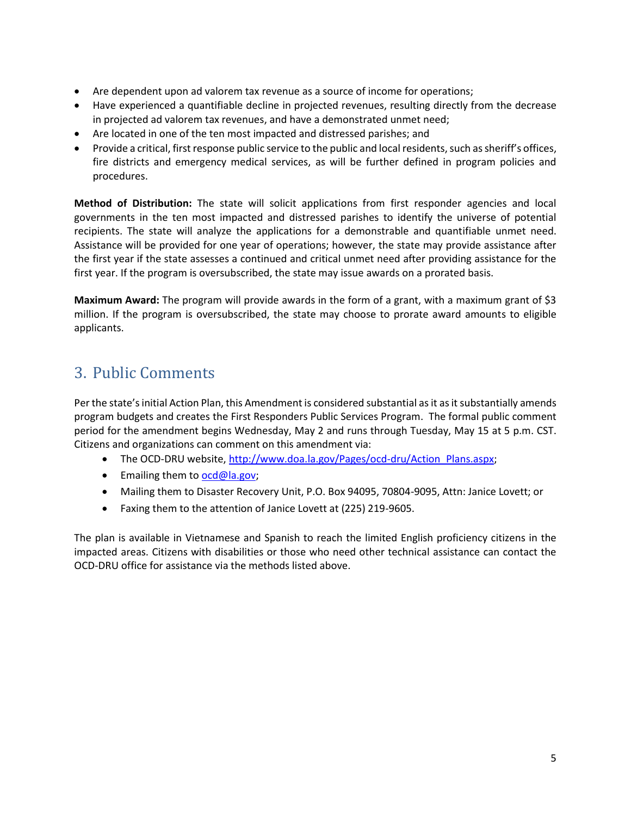- Are dependent upon ad valorem tax revenue as a source of income for operations;
- Have experienced a quantifiable decline in projected revenues, resulting directly from the decrease in projected ad valorem tax revenues, and have a demonstrated unmet need;
- Are located in one of the ten most impacted and distressed parishes; and
- Provide a critical, first response public service to the public and local residents, such as sheriff's offices, fire districts and emergency medical services, as will be further defined in program policies and procedures.

**Method of Distribution:** The state will solicit applications from first responder agencies and local governments in the ten most impacted and distressed parishes to identify the universe of potential recipients. The state will analyze the applications for a demonstrable and quantifiable unmet need. Assistance will be provided for one year of operations; however, the state may provide assistance after the first year if the state assesses a continued and critical unmet need after providing assistance for the first year. If the program is oversubscribed, the state may issue awards on a prorated basis.

**Maximum Award:** The program will provide awards in the form of a grant, with a maximum grant of \$3 million. If the program is oversubscribed, the state may choose to prorate award amounts to eligible applicants.

# 3. Public Comments

Per the state's initial Action Plan, this Amendment is considered substantial as it as it substantially amends program budgets and creates the First Responders Public Services Program. The formal public comment period for the amendment begins Wednesday, May 2 and runs through Tuesday, May 15 at 5 p.m. CST. Citizens and organizations can comment on this amendment via:

- The OCD-DRU website, http://www.doa.la.gov/Pages/ocd-dru/Action\_Plans.aspx;
- $\bullet$  Emailing them t[o ocd@la.gov;](mailto:ocd@la.gov)
- Mailing them to Disaster Recovery Unit, P.O. Box 94095, 70804-9095, Attn: Janice Lovett; or
- Faxing them to the attention of Janice Lovett at (225) 219-9605.

The plan is available in Vietnamese and Spanish to reach the limited English proficiency citizens in the impacted areas. Citizens with disabilities or those who need other technical assistance can contact the OCD-DRU office for assistance via the methods listed above.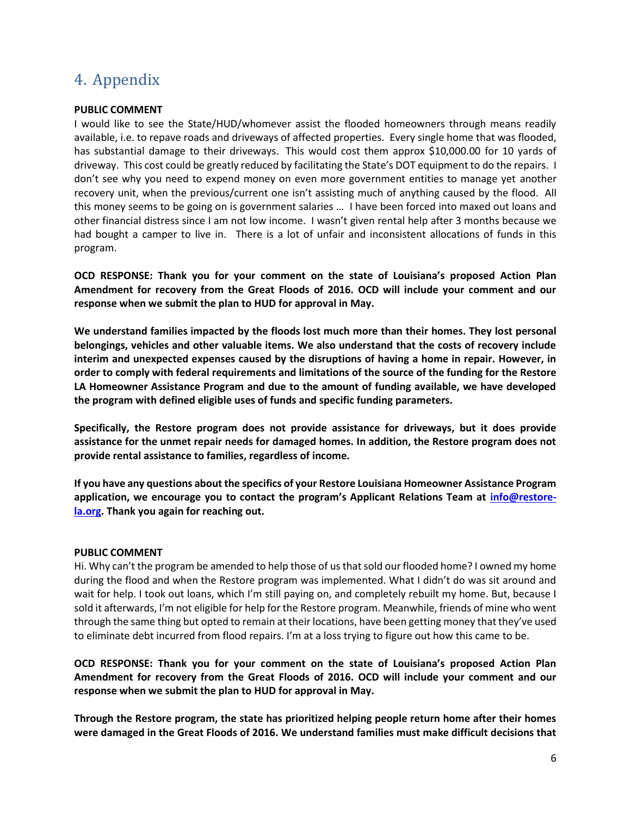# 4. Appendix

### **PUBLIC COMMENT**

I would like to see the State/HUD/whomever assist the flooded homeowners through means readily available, i.e. to repave roads and driveways of affected properties. Every single home that was flooded, has substantial damage to their driveways. This would cost them approx \$10,000.00 for 10 yards of driveway. This cost could be greatly reduced by facilitating the State's DOT equipment to do the repairs. I don't see why you need to expend money on even more government entities to manage yet another recovery unit, when the previous/current one isn't assisting much of anything caused by the flood. All this money seems to be going on is government salaries … I have been forced into maxed out loans and other financial distress since I am not low income. I wasn't given rental help after 3 months because we had bought a camper to live in. There is a lot of unfair and inconsistent allocations of funds in this program.

**OCD RESPONSE: Thank you for your comment on the state of Louisiana's proposed Action Plan Amendment for recovery from the Great Floods of 2016. OCD will include your comment and our response when we submit the plan to HUD for approval in May.**

**We understand families impacted by the floods lost much more than their homes. They lost personal belongings, vehicles and other valuable items. We also understand that the costs of recovery include interim and unexpected expenses caused by the disruptions of having a home in repair. However, in order to comply with federal requirements and limitations of the source of the funding for the Restore LA Homeowner Assistance Program and due to the amount of funding available, we have developed the program with defined eligible uses of funds and specific funding parameters.** 

**Specifically, the Restore program does not provide assistance for driveways, but it does provide assistance for the unmet repair needs for damaged homes. In addition, the Restore program does not provide rental assistance to families, regardless of income.** 

**If you have any questions about the specifics of your Restore Louisiana Homeowner Assistance Program application, we encourage you to contact the program's Applicant Relations Team at [info@restore](mailto:info@restore-la.org)[la.org.](mailto:info@restore-la.org) Thank you again for reaching out.** 

### **PUBLIC COMMENT**

Hi. Why can't the program be amended to help those of us that sold our flooded home? I owned my home during the flood and when the Restore program was implemented. What I didn't do was sit around and wait for help. I took out loans, which I'm still paying on, and completely rebuilt my home. But, because I sold it afterwards, I'm not eligible for help for the Restore program. Meanwhile, friends of mine who went through the same thing but opted to remain at their locations, have been getting money that they've used to eliminate debt incurred from flood repairs. I'm at a loss trying to figure out how this came to be.

**OCD RESPONSE: Thank you for your comment on the state of Louisiana's proposed Action Plan Amendment for recovery from the Great Floods of 2016. OCD will include your comment and our response when we submit the plan to HUD for approval in May.**

**Through the Restore program, the state has prioritized helping people return home after their homes were damaged in the Great Floods of 2016. We understand families must make difficult decisions that**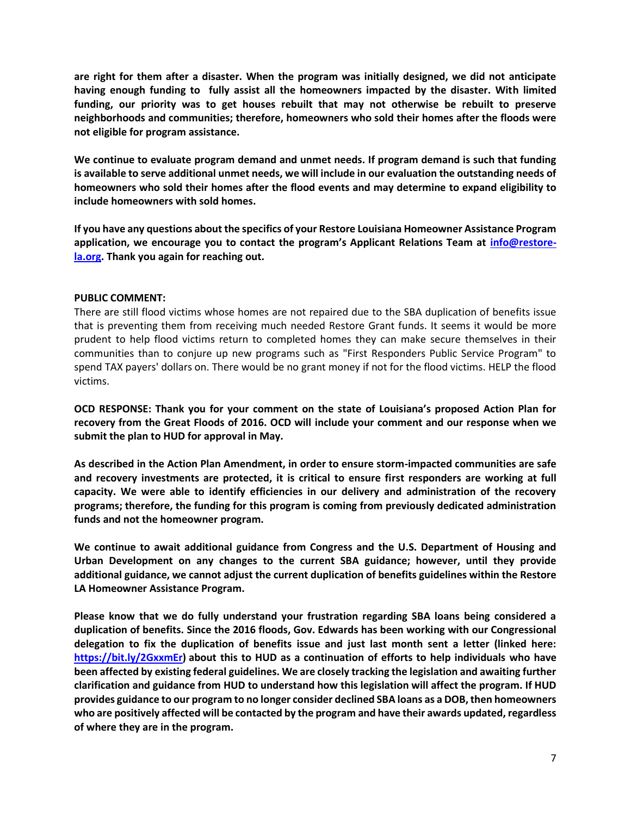**are right for them after a disaster. When the program was initially designed, we did not anticipate having enough funding to fully assist all the homeowners impacted by the disaster. With limited funding, our priority was to get houses rebuilt that may not otherwise be rebuilt to preserve neighborhoods and communities; therefore, homeowners who sold their homes after the floods were not eligible for program assistance.** 

**We continue to evaluate program demand and unmet needs. If program demand is such that funding is available to serve additional unmet needs, we will include in our evaluation the outstanding needs of homeowners who sold their homes after the flood events and may determine to expand eligibility to include homeowners with sold homes.** 

**If you have any questions about the specifics of your Restore Louisiana Homeowner Assistance Program**  application, we encourage you to contact the program's Applicant Relations Team at *[info@restore](mailto:info@restore-la.org)***[la.org.](mailto:info@restore-la.org) Thank you again for reaching out.**

#### **PUBLIC COMMENT:**

There are still flood victims whose homes are not repaired due to the SBA duplication of benefits issue that is preventing them from receiving much needed Restore Grant funds. It seems it would be more prudent to help flood victims return to completed homes they can make secure themselves in their communities than to conjure up new programs such as "First Responders Public Service Program" to spend TAX payers' dollars on. There would be no grant money if not for the flood victims. HELP the flood victims.

**OCD RESPONSE: Thank you for your comment on the state of Louisiana's proposed Action Plan for recovery from the Great Floods of 2016. OCD will include your comment and our response when we submit the plan to HUD for approval in May.**

**As described in the Action Plan Amendment, in order to ensure storm-impacted communities are safe and recovery investments are protected, it is critical to ensure first responders are working at full capacity. We were able to identify efficiencies in our delivery and administration of the recovery programs; therefore, the funding for this program is coming from previously dedicated administration funds and not the homeowner program.** 

**We continue to await additional guidance from Congress and the U.S. Department of Housing and Urban Development on any changes to the current SBA guidance; however, until they provide additional guidance, we cannot adjust the current duplication of benefits guidelines within the Restore LA Homeowner Assistance Program.** 

**Please know that we do fully understand your frustration regarding SBA loans being considered a duplication of benefits. Since the 2016 floods, Gov. Edwards has been working with our Congressional delegation to fix the duplication of benefits issue and just last month sent a letter (linked here: [https://bit.ly/2GxxmEr\)](https://bit.ly/2GxxmEr) about this to HUD as a continuation of efforts to help individuals who have been affected by existing federal guidelines. We are closely tracking the legislation and awaiting further clarification and guidance from HUD to understand how this legislation will affect the program. If HUD provides guidance to our program to no longer consider declined SBA loans as a DOB, then homeowners who are positively affected will be contacted by the program and have their awards updated, regardless of where they are in the program.**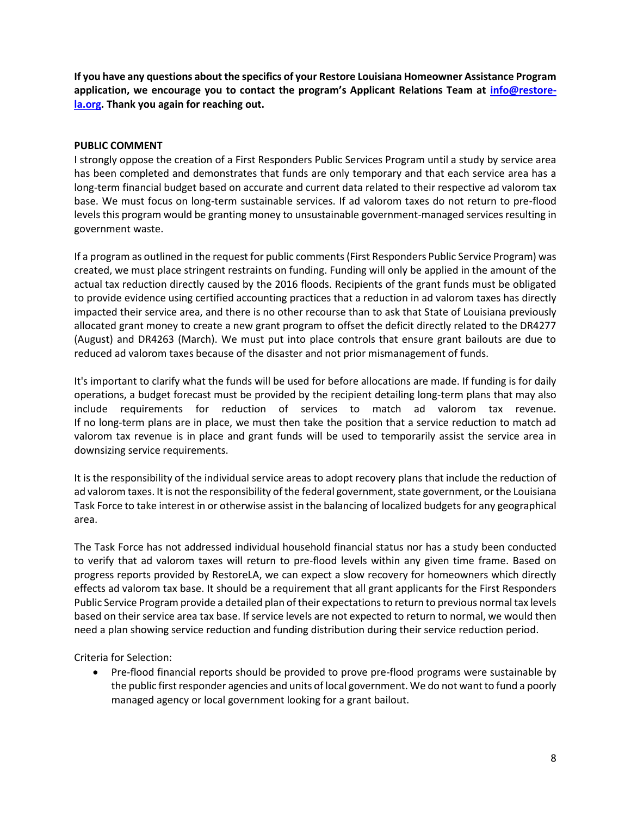**If you have any questions about the specifics of your Restore Louisiana Homeowner Assistance Program**  application, we encourage you to contact the program's Applicant Relations Team at *[info@restore](mailto:info@restore-la.org)***[la.org.](mailto:info@restore-la.org) Thank you again for reaching out.**

### **PUBLIC COMMENT**

I strongly oppose the creation of a First Responders Public Services Program until a study by service area has been completed and demonstrates that funds are only temporary and that each service area has a long-term financial budget based on accurate and current data related to their respective ad valorom tax base. We must focus on long-term sustainable services. If ad valorom taxes do not return to pre-flood levels this program would be granting money to unsustainable government-managed services resulting in government waste.

If a program as outlined in the request for public comments (First Responders Public Service Program) was created, we must place stringent restraints on funding. Funding will only be applied in the amount of the actual tax reduction directly caused by the 2016 floods. Recipients of the grant funds must be obligated to provide evidence using certified accounting practices that a reduction in ad valorom taxes has directly impacted their service area, and there is no other recourse than to ask that State of Louisiana previously allocated grant money to create a new grant program to offset the deficit directly related to the DR4277 (August) and DR4263 (March). We must put into place controls that ensure grant bailouts are due to reduced ad valorom taxes because of the disaster and not prior mismanagement of funds.

It's important to clarify what the funds will be used for before allocations are made. If funding is for daily operations, a budget forecast must be provided by the recipient detailing long-term plans that may also include requirements for reduction of services to match ad valorom tax revenue. If no long-term plans are in place, we must then take the position that a service reduction to match ad valorom tax revenue is in place and grant funds will be used to temporarily assist the service area in downsizing service requirements.

It is the responsibility of the individual service areas to adopt recovery plans that include the reduction of ad valorom taxes. It is not the responsibility of the federal government, state government, or the Louisiana Task Force to take interest in or otherwise assist in the balancing of localized budgets for any geographical area.

The Task Force has not addressed individual household financial status nor has a study been conducted to verify that ad valorom taxes will return to pre-flood levels within any given time frame. Based on progress reports provided by RestoreLA, we can expect a slow recovery for homeowners which directly effects ad valorom tax base. It should be a requirement that all grant applicants for the First Responders Public Service Program provide a detailed plan of their expectations to return to previous normal tax levels based on their service area tax base. If service levels are not expected to return to normal, we would then need a plan showing service reduction and funding distribution during their service reduction period.

Criteria for Selection:

• Pre-flood financial reports should be provided to prove pre-flood programs were sustainable by the public first responder agencies and units of local government. We do not want to fund a poorly managed agency or local government looking for a grant bailout.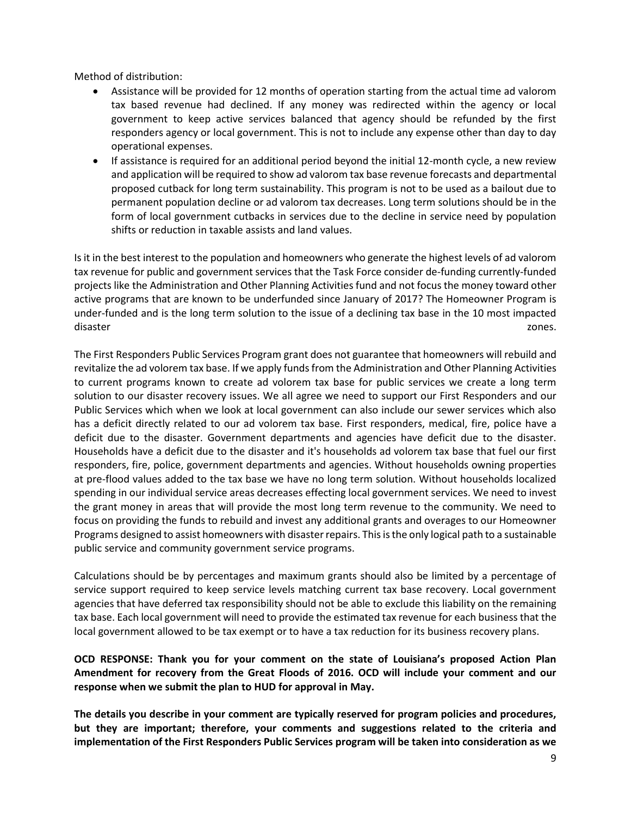Method of distribution:

- Assistance will be provided for 12 months of operation starting from the actual time ad valorom tax based revenue had declined. If any money was redirected within the agency or local government to keep active services balanced that agency should be refunded by the first responders agency or local government. This is not to include any expense other than day to day operational expenses.
- If assistance is required for an additional period beyond the initial 12-month cycle, a new review and application will be required to show ad valorom tax base revenue forecasts and departmental proposed cutback for long term sustainability. This program is not to be used as a bailout due to permanent population decline or ad valorom tax decreases. Long term solutions should be in the form of local government cutbacks in services due to the decline in service need by population shifts or reduction in taxable assists and land values.

Is it in the best interest to the population and homeowners who generate the highest levels of ad valorom tax revenue for public and government services that the Task Force consider de-funding currently-funded projects like the Administration and Other Planning Activities fund and not focus the money toward other active programs that are known to be underfunded since January of 2017? The Homeowner Program is under-funded and is the long term solution to the issue of a declining tax base in the 10 most impacted disaster zones.

The First Responders Public Services Program grant does not guarantee that homeowners will rebuild and revitalize the ad volorem tax base. If we apply funds from the Administration and Other Planning Activities to current programs known to create ad volorem tax base for public services we create a long term solution to our disaster recovery issues. We all agree we need to support our First Responders and our Public Services which when we look at local government can also include our sewer services which also has a deficit directly related to our ad volorem tax base. First responders, medical, fire, police have a deficit due to the disaster. Government departments and agencies have deficit due to the disaster. Households have a deficit due to the disaster and it's households ad volorem tax base that fuel our first responders, fire, police, government departments and agencies. Without households owning properties at pre-flood values added to the tax base we have no long term solution. Without households localized spending in our individual service areas decreases effecting local government services. We need to invest the grant money in areas that will provide the most long term revenue to the community. We need to focus on providing the funds to rebuild and invest any additional grants and overages to our Homeowner Programs designed to assist homeowners with disaster repairs. This is the only logical path to a sustainable public service and community government service programs.

Calculations should be by percentages and maximum grants should also be limited by a percentage of service support required to keep service levels matching current tax base recovery. Local government agencies that have deferred tax responsibility should not be able to exclude this liability on the remaining tax base. Each local government will need to provide the estimated tax revenue for each business that the local government allowed to be tax exempt or to have a tax reduction for its business recovery plans.

### **OCD RESPONSE: Thank you for your comment on the state of Louisiana's proposed Action Plan Amendment for recovery from the Great Floods of 2016. OCD will include your comment and our response when we submit the plan to HUD for approval in May.**

**The details you describe in your comment are typically reserved for program policies and procedures, but they are important; therefore, your comments and suggestions related to the criteria and implementation of the First Responders Public Services program will be taken into consideration as we**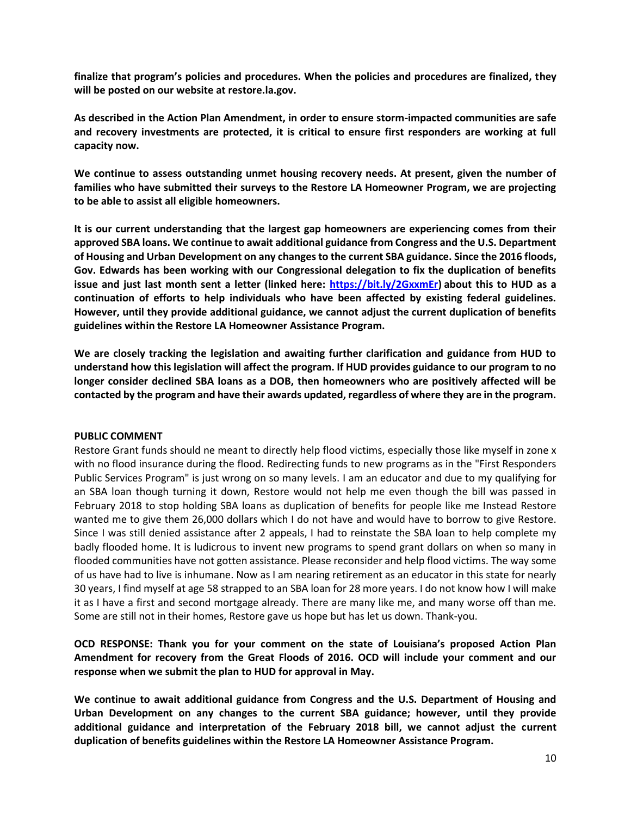**finalize that program's policies and procedures. When the policies and procedures are finalized, they will be posted on our website at restore.la.gov.** 

**As described in the Action Plan Amendment, in order to ensure storm-impacted communities are safe and recovery investments are protected, it is critical to ensure first responders are working at full capacity now.** 

**We continue to assess outstanding unmet housing recovery needs. At present, given the number of families who have submitted their surveys to the Restore LA Homeowner Program, we are projecting to be able to assist all eligible homeowners.** 

**It is our current understanding that the largest gap homeowners are experiencing comes from their approved SBA loans. We continue to await additional guidance from Congress and the U.S. Department of Housing and Urban Development on any changes to the current SBA guidance. Since the 2016 floods, Gov. Edwards has been working with our Congressional delegation to fix the duplication of benefits issue and just last month sent a letter (linked here: [https://bit.ly/2GxxmEr\)](https://bit.ly/2GxxmEr) about this to HUD as a continuation of efforts to help individuals who have been affected by existing federal guidelines. However, until they provide additional guidance, we cannot adjust the current duplication of benefits guidelines within the Restore LA Homeowner Assistance Program.** 

**We are closely tracking the legislation and awaiting further clarification and guidance from HUD to understand how this legislation will affect the program. If HUD provides guidance to our program to no longer consider declined SBA loans as a DOB, then homeowners who are positively affected will be contacted by the program and have their awards updated, regardless of where they are in the program.**

#### **PUBLIC COMMENT**

Restore Grant funds should ne meant to directly help flood victims, especially those like myself in zone x with no flood insurance during the flood. Redirecting funds to new programs as in the "First Responders Public Services Program" is just wrong on so many levels. I am an educator and due to my qualifying for an SBA loan though turning it down, Restore would not help me even though the bill was passed in February 2018 to stop holding SBA loans as duplication of benefits for people like me Instead Restore wanted me to give them 26,000 dollars which I do not have and would have to borrow to give Restore. Since I was still denied assistance after 2 appeals, I had to reinstate the SBA loan to help complete my badly flooded home. It is ludicrous to invent new programs to spend grant dollars on when so many in flooded communities have not gotten assistance. Please reconsider and help flood victims. The way some of us have had to live is inhumane. Now as I am nearing retirement as an educator in this state for nearly 30 years, I find myself at age 58 strapped to an SBA loan for 28 more years. I do not know how I will make it as I have a first and second mortgage already. There are many like me, and many worse off than me. Some are still not in their homes, Restore gave us hope but has let us down. Thank-you.

### **OCD RESPONSE: Thank you for your comment on the state of Louisiana's proposed Action Plan Amendment for recovery from the Great Floods of 2016. OCD will include your comment and our response when we submit the plan to HUD for approval in May.**

**We continue to await additional guidance from Congress and the U.S. Department of Housing and Urban Development on any changes to the current SBA guidance; however, until they provide additional guidance and interpretation of the February 2018 bill, we cannot adjust the current duplication of benefits guidelines within the Restore LA Homeowner Assistance Program.**